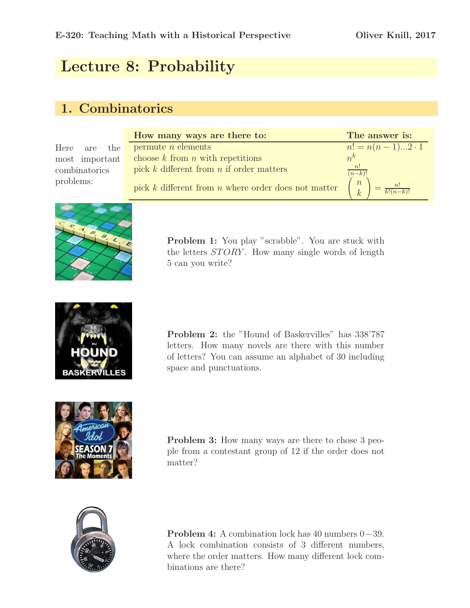# Lecture 8: Probability

### 1. Combinatorics

| Here          | are the        |  |  |
|---------------|----------------|--|--|
|               | most important |  |  |
| combinatorics |                |  |  |
| problems:     |                |  |  |

| How many ways are there to:                             | The answer is:                                 |
|---------------------------------------------------------|------------------------------------------------|
| permute $n$ elements                                    | $n! = n(n-1)2 \cdot 1$                         |
| choose $k$ from $n$ with repetitions                    | $n^k$                                          |
| pick $k$ different from $n$ if order matters            | $\lfloor n! \rfloor$<br>$(n-k)!$               |
| pick $k$ different from $n$ where order does not matter | $\boldsymbol{n}$<br>$\frac{n!}{k!(n-k)!}$<br>k |



Problem 1: You play "scrabble". You are stuck with the letters  $STORY$ . How many single words of length 5 can you write?



Problem 2: the "Hound of Baskervilles" has 338'787 letters. How many novels are there with this number of letters? You can assume an alphabet of 30 including space and punctuations.



Problem 3: How many ways are there to chose 3 people from a contestant group of 12 if the order does not matter?



Problem 4: A combination lock has 40 numbers 0−39. A lock combination consists of 3 different numbers, where the order matters. How many different lock combinations are there?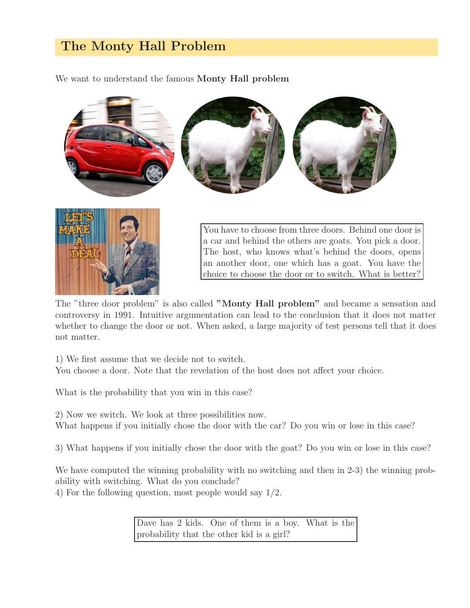## The Monty Hall Problem

We want to understand the famous **Monty Hall problem** 





You have to choose from three doors. Behind one door is a car and behind the others are goats. You pick a door. The host, who knows what's behind the doors, opens an another door, one which has a goat. You have the choice to choose the door or to switch. What is better?

The "three door problem" is also called "Monty Hall problem" and became a sensation and controversy in 1991. Intuitive argumentation can lead to the conclusion that it does not matter whether to change the door or not. When asked, a large majority of test persons tell that it does not matter.

1) We first assume that we decide not to switch.

You choose a door. Note that the revelation of the host does not affect your choice.

What is the probability that you win in this case?

2) Now we switch. We look at three possibilities now. What happens if you initially chose the door with the car? Do you win or lose in this case?

3) What happens if you initially chose the door with the goat? Do you win or lose in this case?

We have computed the winning probability with no switching and then in 2-3) the winning probability with switching. What do you conclude?

4) For the following question, most people would say 1/2.

Dave has 2 kids. One of them is a boy. What is the probability that the other kid is a girl?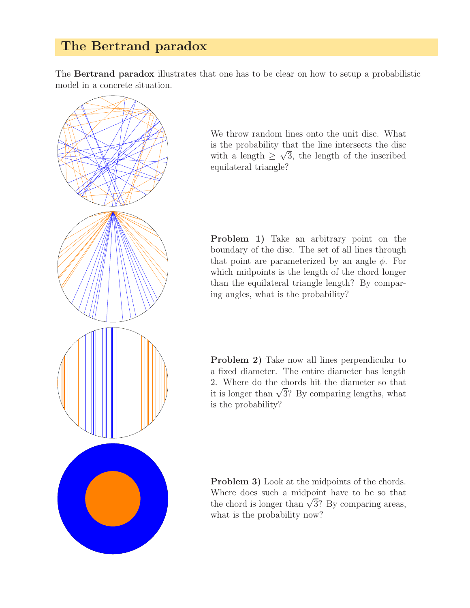### The Bertrand paradox

The Bertrand paradox illustrates that one has to be clear on how to setup a probabilistic model in a concrete situation.



We throw random lines onto the unit disc. What is the probability that the line intersects the disc with a length  $\geq \sqrt{3}$ , the length of the inscribed equilateral triangle?

Problem 1) Take an arbitrary point on the boundary of the disc. The set of all lines through that point are parameterized by an angle  $\phi$ . For which midpoints is the length of the chord longer than the equilateral triangle length? By comparing angles, what is the probability?

Problem 2) Take now all lines perpendicular to a fixed diameter. The entire diameter has length 2. Where do the chords hit the diameter so that it is longer than  $\sqrt{3}$ ? By comparing lengths, what is the probability?

Problem 3) Look at the midpoints of the chords. Where does such a midpoint have to be so that the chord is longer than  $\sqrt{3}$ ? By comparing areas, what is the probability now?